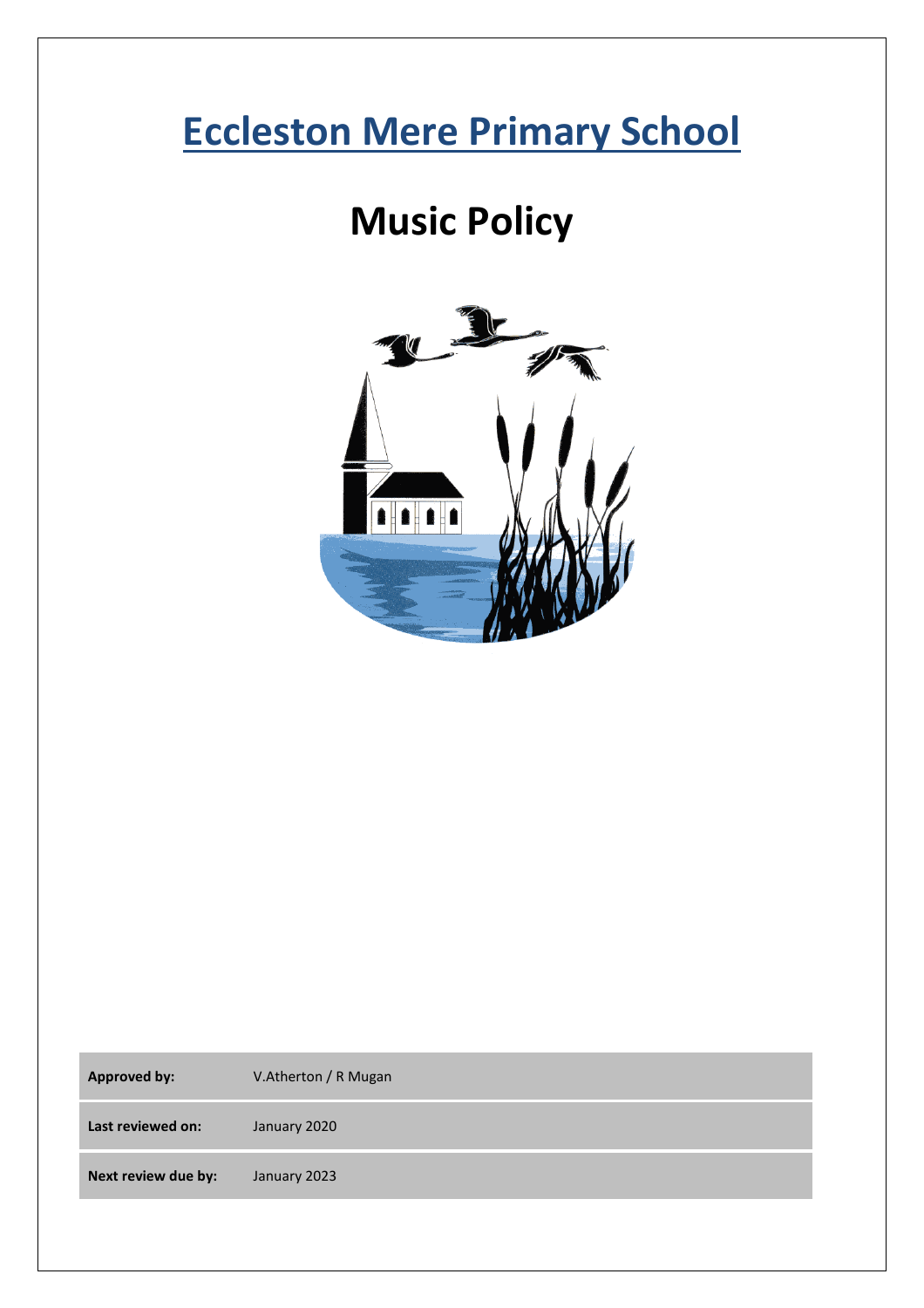# **Eccleston Mere Primary School**

# **Music Policy**



| <b>Approved by:</b> | V.Atherton / R Mugan |
|---------------------|----------------------|
| Last reviewed on:   | January 2020         |
| Next review due by: | January 2023         |
|                     |                      |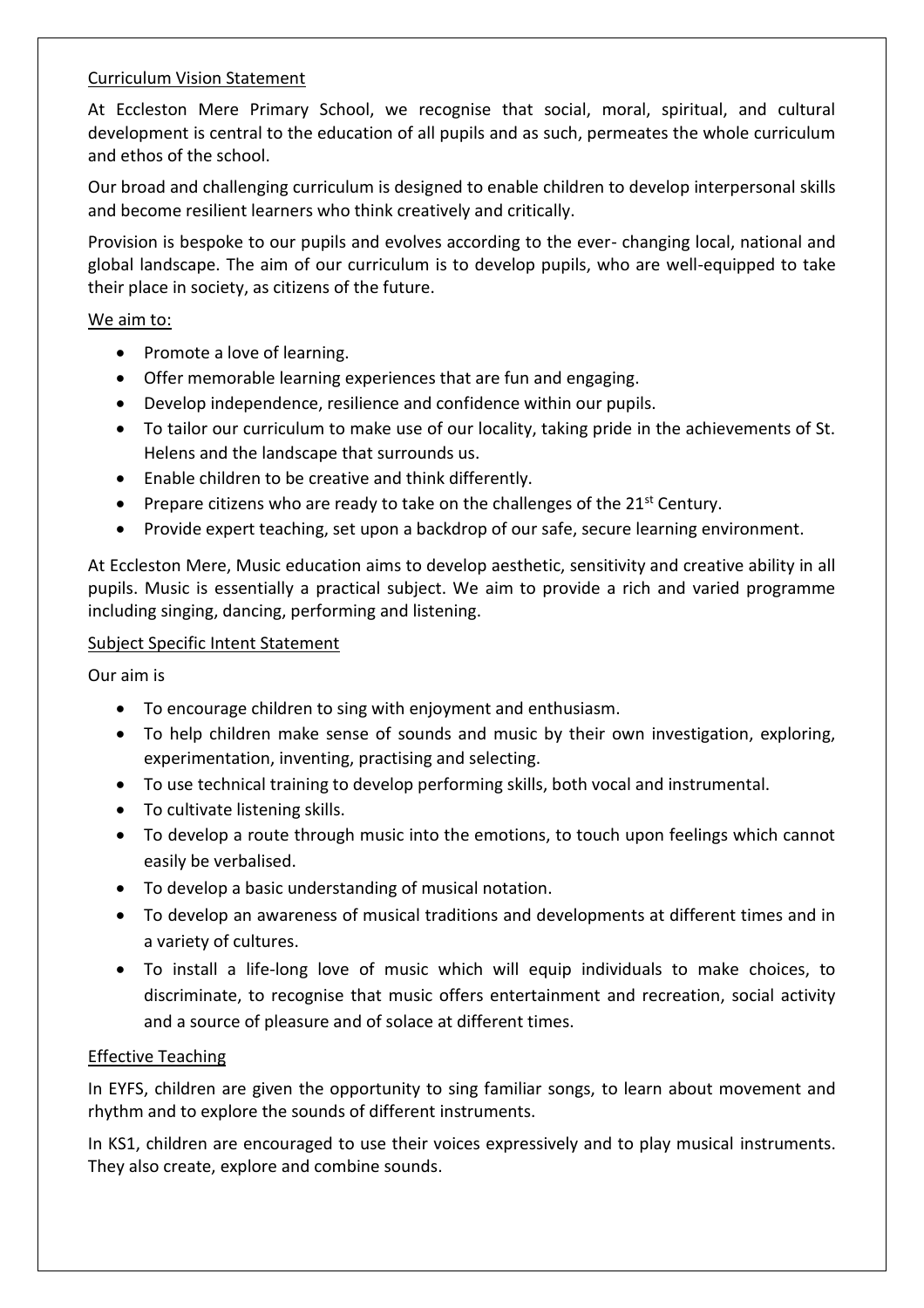# Curriculum Vision Statement

At Eccleston Mere Primary School, we recognise that social, moral, spiritual, and cultural development is central to the education of all pupils and as such, permeates the whole curriculum and ethos of the school.

Our broad and challenging curriculum is designed to enable children to develop interpersonal skills and become resilient learners who think creatively and critically.

Provision is bespoke to our pupils and evolves according to the ever- changing local, national and global landscape. The aim of our curriculum is to develop pupils, who are well-equipped to take their place in society, as citizens of the future.

#### We aim to:

- Promote a love of learning.
- Offer memorable learning experiences that are fun and engaging.
- Develop independence, resilience and confidence within our pupils.
- To tailor our curriculum to make use of our locality, taking pride in the achievements of St. Helens and the landscape that surrounds us.
- Enable children to be creative and think differently.
- Prepare citizens who are ready to take on the challenges of the  $21<sup>st</sup>$  Century.
- Provide expert teaching, set upon a backdrop of our safe, secure learning environment.

At Eccleston Mere, Music education aims to develop aesthetic, sensitivity and creative ability in all pupils. Music is essentially a practical subject. We aim to provide a rich and varied programme including singing, dancing, performing and listening.

#### Subject Specific Intent Statement

Our aim is

- To encourage children to sing with enjoyment and enthusiasm.
- To help children make sense of sounds and music by their own investigation, exploring, experimentation, inventing, practising and selecting.
- To use technical training to develop performing skills, both vocal and instrumental.
- To cultivate listening skills.
- To develop a route through music into the emotions, to touch upon feelings which cannot easily be verbalised.
- To develop a basic understanding of musical notation.
- To develop an awareness of musical traditions and developments at different times and in a variety of cultures.
- To install a life-long love of music which will equip individuals to make choices, to discriminate, to recognise that music offers entertainment and recreation, social activity and a source of pleasure and of solace at different times.

# Effective Teaching

In EYFS, children are given the opportunity to sing familiar songs, to learn about movement and rhythm and to explore the sounds of different instruments.

In KS1, children are encouraged to use their voices expressively and to play musical instruments. They also create, explore and combine sounds.